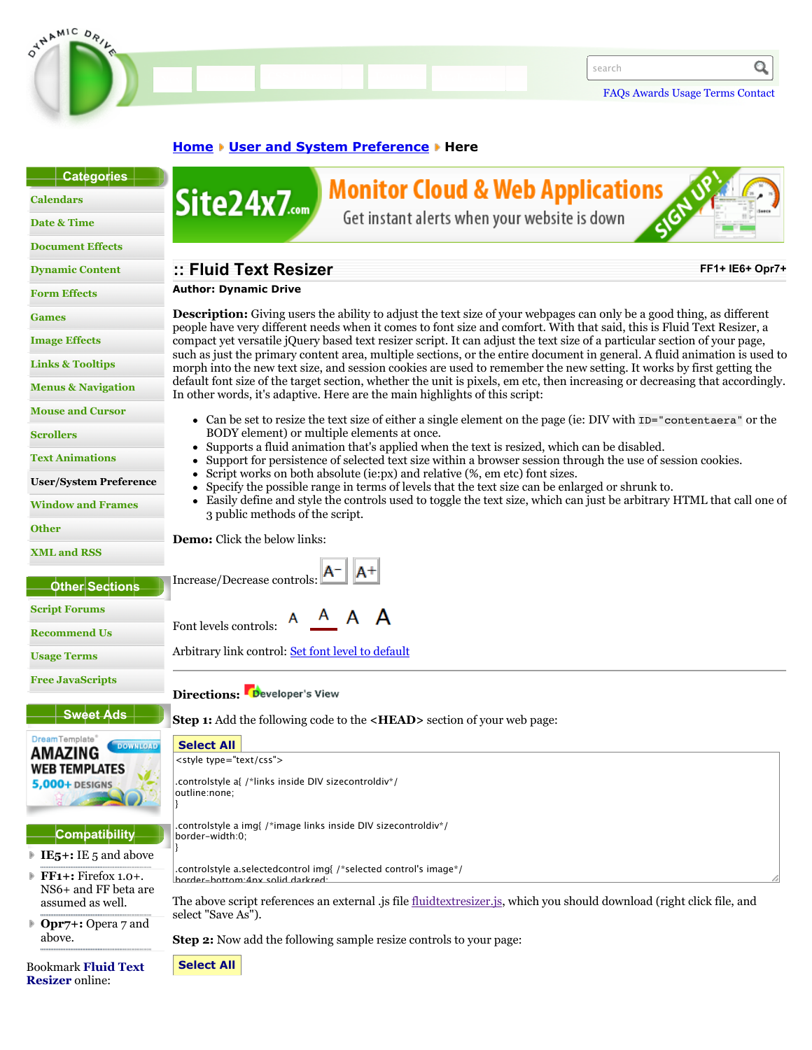

### **[Home](http://www.dynamicdrive.com/) Wester and System Preference Wester**

| Categories                       |                                                                                                                                                                                                                                                     |
|----------------------------------|-----------------------------------------------------------------------------------------------------------------------------------------------------------------------------------------------------------------------------------------------------|
| <b>Calendars</b>                 | <b>Monitor Cloud &amp; Web Applications</b><br>Site24x7                                                                                                                                                                                             |
| Date & Time                      | Get instant alerts when your website is down                                                                                                                                                                                                        |
| <b>Document Effects</b>          |                                                                                                                                                                                                                                                     |
| <b>Dynamic Content</b>           | :: Fluid Text Resizer<br>FF1+ IE6+ Opr7+                                                                                                                                                                                                            |
| <b>Form Effects</b>              | <b>Author: Dynamic Drive</b>                                                                                                                                                                                                                        |
| <b>Games</b>                     | <b>Description:</b> Giving users the ability to adjust the text size of your webpages can only be a good thing, as different                                                                                                                        |
| <b>Image Effects</b>             | people have very different needs when it comes to font size and comfort. With that said, this is Fluid Text Resizer, a<br>compact yet versatile jQuery based text resizer script. It can adjust the text size of a particular section of your page, |
| <b>Links &amp; Tooltips</b>      | such as just the primary content area, multiple sections, or the entire document in general. A fluid animation is used to<br>morph into the new text size, and session cookies are used to remember the new setting. It works by first getting the  |
| <b>Menus &amp; Navigation</b>    | default font size of the target section, whether the unit is pixels, em etc, then increasing or decreasing that accordingly.<br>In other words, it's adaptive. Here are the main highlights of this script:                                         |
| <b>Mouse and Cursor</b>          | • Can be set to resize the text size of either a single element on the page (ie: DIV with ID="contentaera" or the                                                                                                                                   |
| <b>Scrollers</b>                 | BODY element) or multiple elements at once.                                                                                                                                                                                                         |
| <b>Text Animations</b>           | Supports a fluid animation that's applied when the text is resized, which can be disabled.<br>Support for persistence of selected text size within a browser session through the use of session cookies.                                            |
| <b>User/System Preference</b>    | Script works on both absolute (ie:px) and relative (%, em etc) font sizes.<br>Specify the possible range in terms of levels that the text size can be enlarged or shrunk to.                                                                        |
| <b>Window and Frames</b>         | Easily define and style the controls used to toggle the text size, which can just be arbitrary HTML that call one of<br>$\bullet$<br>3 public methods of the script.                                                                                |
| <b>Other</b>                     | <b>Demo:</b> Click the below links:                                                                                                                                                                                                                 |
| <b>XML and RSS</b>               |                                                                                                                                                                                                                                                     |
| Other Sections                   | Increase/Decrease controls: <b>A</b>                                                                                                                                                                                                                |
| <b>Script Forums</b>             | A A A<br>A                                                                                                                                                                                                                                          |
| <b>Recommend Us</b>              | Font levels controls:                                                                                                                                                                                                                               |
| <b>Usage Terms</b>               | Arbitrary link control: Set font level to default                                                                                                                                                                                                   |
| <b>Free JavaScripts</b>          | Directions: Developer's View                                                                                                                                                                                                                        |
| <b>Sweet Ads</b>                 | <b>Step 1:</b> Add the following code to the < <b>HEAD</b> > section of your web page:                                                                                                                                                              |
| DreamTemplate<br><b>DOWNLOAD</b> | <b>Select All</b>                                                                                                                                                                                                                                   |
| AMAZING<br><b>WEB TEMPLATES</b>  | <style type="text/css"></style>                                                                                                                                                                                                                     |

/\*\*\*\*\*\*\*\*\*\*\*\*\*\*\*\*\*\*\*\*\*\*\*\*\*\*\*\*\*\*\*\*\*\*\*\*\*\*\*\*\*\*\*\*\*\*\*

**Resizer** online: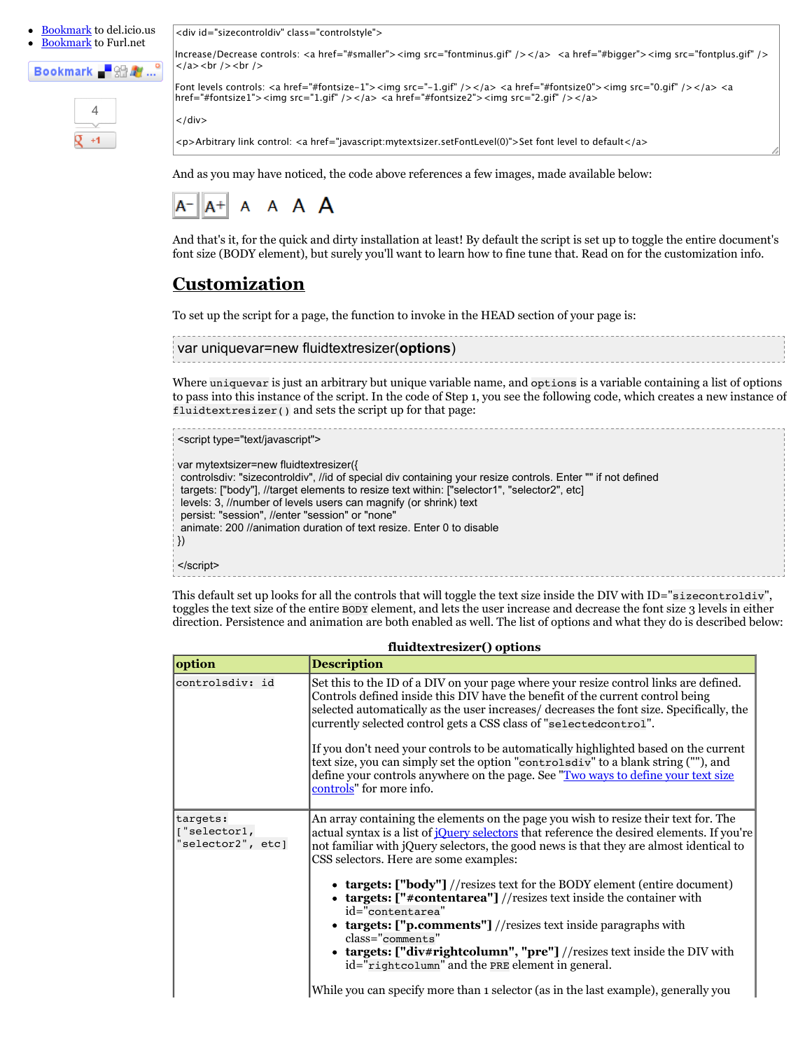[Bookmark](http://www.dynamicdrive.com/bookmark.php?site=deli) to del.icio.us





 $+1$ 

<div id="sizecontroldiv" class="controlstyle">

Increase/Decrease controls: <a href="#smaller"><img src="fontminus.gif" /></a> <a href="#bigger"><img src="fontplus.gif" />  $<$ /a> <br /> /> <br />

Font levels controls: <a href="#fontsize-1"><img src="-1.gif" /></a> <a href="#fontsize0"><img src="0.gif" /></a> <a href="#fontsize1"><img src="1.gif" /></a><a href="#fontsize2"><img src="2.gif" /></a>

 $\langle$ /div $\rangle$ 

<p>Arbitrary link control: <a href="javascript:mytextsizer.setFontLevel(0)">Set font level to default</a>

And as you may have noticed, the code above references a few images, made available below:



And that's it, for the quick and dirty installation at least! By default the script is set up to toggle the entire document's font size (BODY element), but surely you'll want to learn how to fine tune that. Read on for the customization info.

## **Customization**

To set up the script for a page, the function to invoke in the HEAD section of your page is:

| var uniquevar=new fluidtextresizer(options) |  |
|---------------------------------------------|--|
|                                             |  |
|                                             |  |
|                                             |  |

Where uniquevar is just an arbitrary but unique variable name, and options is a variable containing a list of options to pass into this instance of the script. In the code of Step 1, you see the following code, which creates a new instance of fluidtextresizer() and sets the script up for that page:

```
<script type="text/javascript">
var mytextsizer=new fluidtextresizer({
 controlsdiv: "sizecontroldiv", //id of special div containing your resize controls. Enter "" if not defined
 targets: ["body"], //target elements to resize text within: ["selector1", "selector2", etc]
 levels: 3, //number of levels users can magnify (or shrink) text
 persist: "session", //enter "session" or "none"
 animate: 200 //animation duration of text resize. Enter 0 to disable
})
</script>
```
This default set up looks for all the controls that will toggle the text size inside the DIV with ID="sizecontroldiv", toggles the text size of the entire BODY element, and lets the user increase and decrease the font size 3 levels in either direction. Persistence and animation are both enabled as well. The list of options and what they do is described below:

| option                                        | <b>Description</b>                                                                                                                                                                                                                                                                                                                       |
|-----------------------------------------------|------------------------------------------------------------------------------------------------------------------------------------------------------------------------------------------------------------------------------------------------------------------------------------------------------------------------------------------|
| controlsdiv: id                               | Set this to the ID of a DIV on your page where your resize control links are defined.<br>Controls defined inside this DIV have the benefit of the current control being<br>selected automatically as the user increases/decreases the font size. Specifically, the<br>currently selected control gets a CSS class of "selected control". |
|                                               | If you don't need your controls to be automatically highlighted based on the current<br>text size, you can simply set the option "controls div" to a blank string (""), and<br>define your controls anywhere on the page. See "Two ways to define your text size<br>controls" for more info.                                             |
| targets:<br>["selector1,<br>"selector2", etc] | An array containing the elements on the page you wish to resize their text for. The<br>actual syntax is a list of <i>jQuery selectors</i> that reference the desired elements. If you're<br>not familiar with jQuery selectors, the good news is that they are almost identical to<br>CSS selectors. Here are some examples:             |
|                                               | • $targest: ['body"] // resistes text for the BODY element (entire document)$<br>• targets: $["\#contentarea"] // \nexists x \in \text{test} \text{ inside the container with}$<br>id="contentarea"<br>• targets: $["p.comments"] // \nexists$ test inside paragraphs with<br>$class="comments"$                                         |
|                                               | • targets: ["div#rightcolumn", "pre"] //resizes text inside the DIV with<br>id="rightcolumn" and the PRE element in general.                                                                                                                                                                                                             |
|                                               | While you can specify more than 1 selector (as in the last example), generally you                                                                                                                                                                                                                                                       |

**fluidtextresizer() options**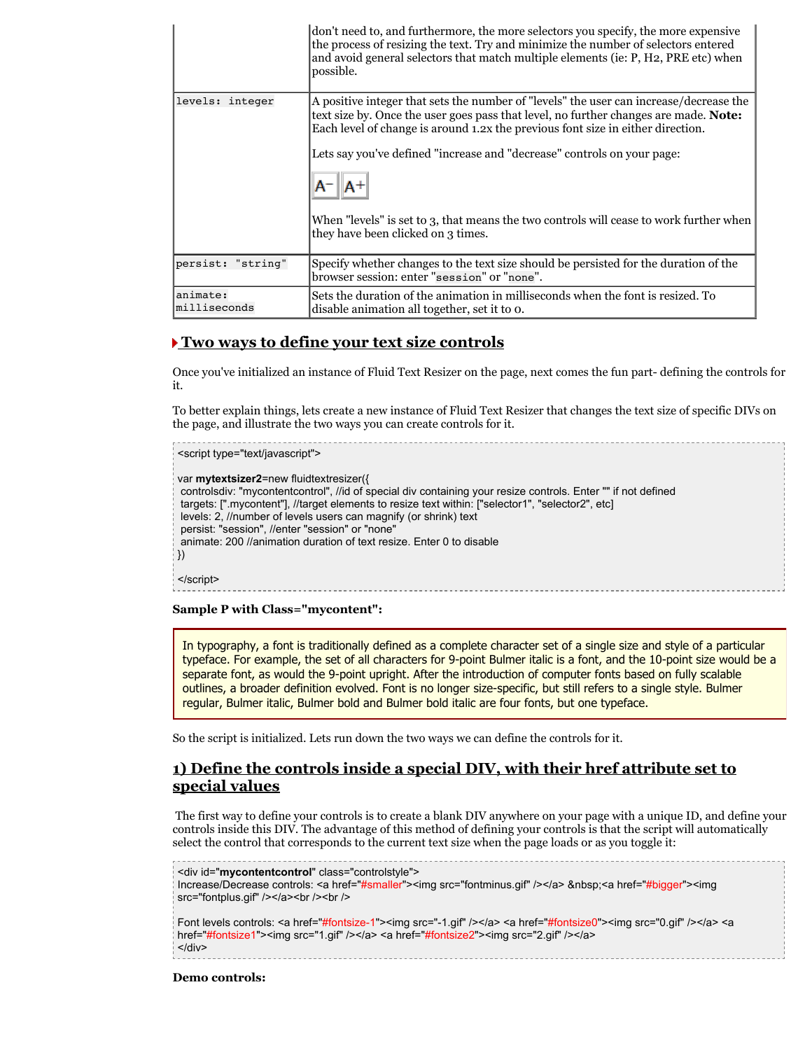|                          | don't need to, and furthermore, the more selectors you specify, the more expensive<br>the process of resizing the text. Try and minimize the number of selectors entered<br>and avoid general selectors that match multiple elements (ie: P, H2, PRE etc) when<br>possible. |
|--------------------------|-----------------------------------------------------------------------------------------------------------------------------------------------------------------------------------------------------------------------------------------------------------------------------|
| levels: integer          | A positive integer that sets the number of "levels" the user can increase/decrease the<br>text size by. Once the user goes pass that level, no further changes are made. <b>Note:</b><br>Each level of change is around 1.2x the previous font size in either direction.    |
|                          | Lets say you've defined "increase and "decrease" controls on your page:<br>When "levels" is set to 3, that means the two controls will cease to work further when                                                                                                           |
|                          | they have been clicked on 3 times.                                                                                                                                                                                                                                          |
| persist: "string"        | Specify whether changes to the text size should be persisted for the duration of the<br>browser session: enter "session" or "none".                                                                                                                                         |
| animate:<br>milliseconds | Sets the duration of the animation in milliseconds when the font is resized. To<br>disable animation all together, set it to o.                                                                                                                                             |

#### **Two ways to define your text size controls**

Once you've initialized an instance of Fluid Text Resizer on the page, next comes the fun part- defining the controls for it.

To better explain things, lets create a new instance of Fluid Text Resizer that changes the text size of specific DIVs on the page, and illustrate the two ways you can create controls for it.

<script type="text/javascript"> var **mytextsizer2**=new fluidtextresizer({ controlsdiv: "mycontentcontrol", //id of special div containing your resize controls. Enter "" if not defined targets: [".mycontent"], //target elements to resize text within: ["selector1", "selector2", etc] levels: 2, //number of levels users can magnify (or shrink) text persist: "session", //enter "session" or "none" animate: 200 //animation duration of text resize. Enter 0 to disable }) </script>

**Sample P with Class="mycontent":**

In typography, a font is traditionally defined as a complete character set of a single size and style of a particular typeface. For example, the set of all characters for 9-point Bulmer italic is a font, and the 10-point size would be a separate font, as would the 9-point upright. After the introduction of computer fonts based on fully scalable outlines, a broader definition evolved. Font is no longer size-specific, but still refers to a single style. Bulmer regular, Bulmer italic, Bulmer bold and Bulmer bold italic are four fonts, but one typeface.

So the script is initialized. Lets run down the two ways we can define the controls for it.

## **1) Define the controls inside a special DIV, with their href attribute set to special values**

 The first way to define your controls is to create a blank DIV anywhere on your page with a unique ID, and define your controls inside this DIV. The advantage of this method of defining your controls is that the script will automatically select the control that corresponds to the current text size when the page loads or as you toggle it:

```
<div id="mycontentcontrol" class="controlstyle">
Increase/Decrease controls: <a href="#smaller"><img src="fontminus.gif" /></a> &nbsp;<a href="#bigger"><img
src="fontplus.gif" /></a><br />> /><br />
Font levels controls: <a href="#fontsize-1"><img src="-1.gif" /></a> <a href="#fontsize0"><img src="0.gif" /></a> <a
href="#fontsize1"><img src="1.gif" /></a> <a href="#fontsize2"><img src="2.gif" /></a>
</div>
```
**Demo controls:**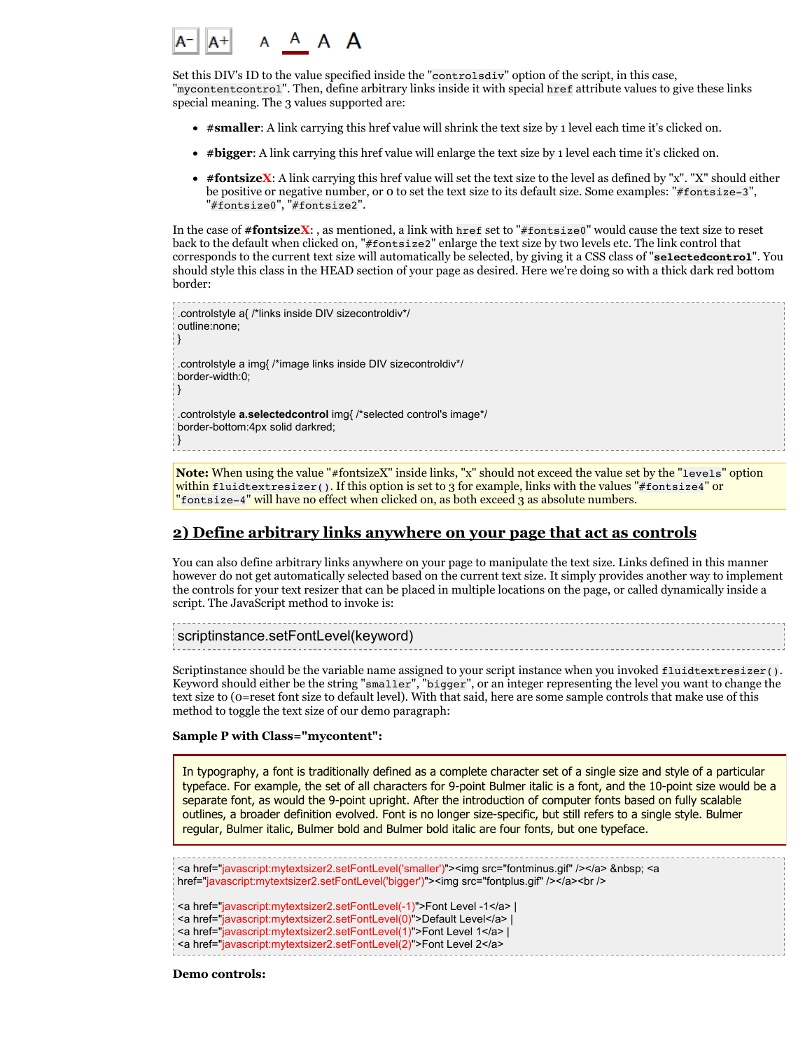

Set this DIV's ID to the value specified inside the "controlsdiv" option of the script, in this case, "mycontentcontrol". Then, define arbitrary links inside it with special href attribute values to give these links special meaning. The 3 values supported are:

- **#smaller**: A link carrying this href value will shrink the text size by 1 level each time it's clicked on.
- **#bigger**: A link carrying this href value will enlarge the text size by 1 level each time it's clicked on.
- **#fontsizeX**: A link carrying this href value will set the text size to the level as defined by "x". "X" should either be positive or negative number, or 0 to set the text size to its default size. Some examples: "#fontsize-3", "#fontsize0", "#fontsize2".

In the case of **#fontsizeX**: , as mentioned, a link with href set to "#fontsize0" would cause the text size to reset back to the default when clicked on, "#fontsize2" enlarge the text size by two levels etc. The link control that corresponds to the current text size will automatically be selected, by giving it a CSS class of "**selectedcontrol**". You should style this class in the HEAD section of your page as desired. Here we're doing so with a thick dark red bottom border:

.controlstyle a{ /\*links inside DIV sizecontroldiv\*/ outline:none; } .controlstyle a img{ /\*image links inside DIV sizecontroldiv\*/ border-width:0; } .controlstyle **a.selectedcontrol** img{ /\*selected control's image\*/ border-bottom:4px solid darkred; }

**Note:** When using the value "#fontsizeX" inside links, "x" should not exceed the value set by the "levels" option within fluidtextresizer(). If this option is set to 3 for example, links with the values "#fontsize4" or "fontsize-4" will have no effect when clicked on, as both exceed 3 as absolute numbers.

#### **2) Define arbitrary links anywhere on your page that act as controls**

You can also define arbitrary links anywhere on your page to manipulate the text size. Links defined in this manner however do not get automatically selected based on the current text size. It simply provides another way to implement the controls for your text resizer that can be placed in multiple locations on the page, or called dynamically inside a script. The JavaScript method to invoke is:

```
scriptinstance.setFontLevel(keyword)
```
Scriptinstance should be the variable name assigned to your script instance when you invoked fluidtextresizer(). Keyword should either be the string "smaller", "bigger", or an integer representing the level you want to change the text size to (0=reset font size to default level). With that said, here are some sample controls that make use of this method to toggle the text size of our demo paragraph:

#### **Sample P with Class="mycontent":**

In typography, a font is traditionally defined as a complete character set of a single size and style of a particular typeface. For example, the set of all characters for 9-point Bulmer italic is a font, and the 10-point size would be a separate font, as would the 9-point upright. After the introduction of computer fonts based on fully scalable outlines, a broader definition evolved. Font is no longer size-specific, but still refers to a single style. Bulmer regular, Bulmer italic, Bulmer bold and Bulmer bold italic are four fonts, but one typeface.

<a href="javascript:mytextsizer2.setFontLevel('smaller')"><img src="fontminus.gif" /></a> &nbsp; <a href="javascript:mytextsizer2.setFontLevel('bigger')"><img src="fontplus.gif" /></a><br />br

<a href="javascript:mytextsizer2.setFontLevel(-1)">Font Level -1</a> |

<a href="javascript:mytextsizer2.setFontLevel(0)">Default Level</a> |

<a href="javascript:mytextsizer2.setFontLevel(1)">Font Level 1</a> |

<a href="javascript:mytextsizer2.setFontLevel(2)">Font Level 2</a>

**Demo controls:**